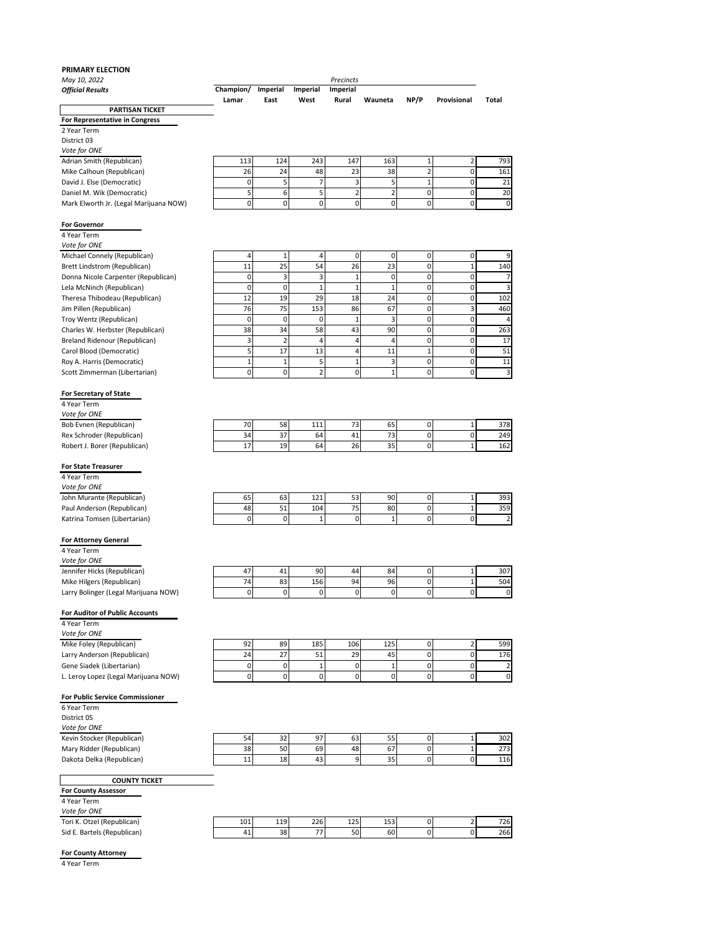## **PRIMARY ELECTION**

| May 10, 2022<br><b>Official Results</b>                                                | Champion/<br>Lamar | Imperial<br>East | Imperial<br>West    | Precincts<br>Imperial<br>Rural | Wauneta             | NP/P           | Provisional             | Total                          |
|----------------------------------------------------------------------------------------|--------------------|------------------|---------------------|--------------------------------|---------------------|----------------|-------------------------|--------------------------------|
| <b>PARTISAN TICKET</b>                                                                 |                    |                  |                     |                                |                     |                |                         |                                |
| For Representative in Congress                                                         |                    |                  |                     |                                |                     |                |                         |                                |
| 2 Year Term                                                                            |                    |                  |                     |                                |                     |                |                         |                                |
| District 03                                                                            |                    |                  |                     |                                |                     |                |                         |                                |
| Vote for ONE                                                                           |                    |                  |                     |                                |                     |                |                         |                                |
| Adrian Smith (Republican)                                                              | 113                | 124              | 243                 | 147                            | 163                 | $\mathbf{1}$   | 2                       | 793                            |
| Mike Calhoun (Republican)                                                              | 26                 | 24               | 48                  | 23                             | 38                  | $\overline{2}$ | 0                       | 161                            |
| David J. Else (Democratic)                                                             | 0                  | 5                | 7                   | 3                              | 5                   | 1              | 0                       | 21                             |
| Daniel M. Wik (Democratic)<br>Mark Elworth Jr. (Legal Marijuana NOW)                   | 5<br>0             | 6<br>0           | 5<br>0              | $\overline{2}$<br>0            | $\overline{2}$<br>0 | 0<br>0         | 0<br>0                  | 20<br>0                        |
|                                                                                        |                    |                  |                     |                                |                     |                |                         |                                |
| <b>For Governor</b><br>4 Year Term                                                     |                    |                  |                     |                                |                     |                |                         |                                |
| Vote for ONE                                                                           |                    |                  |                     |                                |                     |                |                         |                                |
| Michael Connely (Republican)                                                           | 4                  | $\mathbf{1}$     | 4                   | 0                              | 0                   | 0              | 0                       | 9                              |
| Brett Lindstrom (Republican)                                                           | 11                 | 25               | 54                  | 26                             | 23                  | 0              | 1                       | 140                            |
| Donna Nicole Carpenter (Republican)                                                    | 0                  | 3                | 3                   | 1                              | 0                   | 0              | 0                       | 7                              |
| Lela McNinch (Republican)                                                              | 0                  | $\mathbf 0$      | $\mathbf{1}$        | $\mathbf{1}$                   | $\overline{1}$      | 0              | 0                       | 3                              |
| Theresa Thibodeau (Republican)                                                         | 12                 | 19               | 29                  | 18                             | 24                  | 0              | 0                       | 102                            |
| Jim Pillen (Republican)                                                                | 76                 | 75               | 153                 | 86                             | 67                  | 0              | 3                       | 460                            |
| Troy Wentz (Republican)                                                                | $\mathbf 0$        | $\mathbf 0$      | 0                   | 1                              | 3                   | 0              | 0                       | 4                              |
| Charles W. Herbster (Republican)                                                       | 38                 | 34               | 58                  | 43                             | 90                  | 0              | 0                       | 263                            |
| Breland Ridenour (Republican)                                                          | 3                  | $\overline{2}$   | 4                   | 4                              | 4                   | 0              | 0                       | 17                             |
| Carol Blood (Democratic)                                                               | 5                  | 17               | 13                  | 4                              | 11                  | $\mathbf 1$    | 0                       | 51                             |
| Roy A. Harris (Democratic)                                                             | $\mathbf 1$        | 1                | 5                   | 1                              | 3                   | 0              | 0                       | 11                             |
| Scott Zimmerman (Libertarian)                                                          | 0                  | 0                | $\overline{2}$      | 0                              | $\mathbf{1}$        | 0              | 0                       | 3                              |
| <b>For Secretary of State</b><br>4 Year Term<br>Vote for ONE<br>Bob Evnen (Republican) | 70                 | 58               | 111                 | 73                             | 65                  | 0              | 1                       | 378                            |
| Rex Schroder (Republican)                                                              | 34                 | 37               | 64                  | 41                             | 73                  | 0              | 0                       | 249                            |
| Robert J. Borer (Republican)                                                           | 17                 | 19               | 64                  | 26                             | 35                  | 0              | $\mathbf{1}$            | 162                            |
| <b>For State Treasurer</b>                                                             |                    |                  |                     |                                |                     |                |                         |                                |
| 4 Year Term                                                                            |                    |                  |                     |                                |                     |                |                         |                                |
| Vote for ONE                                                                           |                    |                  |                     |                                |                     |                |                         |                                |
| John Murante (Republican)                                                              | 65                 | 63               | 121                 | 53                             | 90                  | 0              | 1                       | 393                            |
| Paul Anderson (Republican)<br>Katrina Tomsen (Libertarian)                             | 48<br>0            | 51<br>0          | 104<br>$\mathbf{1}$ | 75<br>0                        | 80<br>1             | 0<br>0         | 1<br>0                  | 359<br>$\overline{\mathbf{c}}$ |
| <b>For Attorney General</b>                                                            |                    |                  |                     |                                |                     |                |                         |                                |
| 4 Year Term                                                                            |                    |                  |                     |                                |                     |                |                         |                                |
| Vote for ONE                                                                           |                    |                  |                     |                                |                     |                |                         |                                |
| Jennifer Hicks (Republican)                                                            | 47                 | 41               | 90                  | 44                             | 84                  | 0              | 1                       | 307                            |
| Mike Hilgers (Republican)                                                              | 74                 | 83               | 156                 | 94                             | 96                  | 0              | 1                       | 504                            |
| Larry Bolinger (Legal Marijuana NOW)                                                   | 0                  | 0                | 0                   | 0                              | 0                   | 0              | 0                       | 0                              |
| For Auditor of Public Accounts<br>4 Year Term<br>Vote for ONE                          |                    |                  |                     |                                |                     |                |                         |                                |
| Mike Foley (Republican)                                                                | 92                 | 89               | 185                 | 106                            | 125                 | 0              | $\overline{\mathbf{c}}$ | 599                            |
| Larry Anderson (Republican)                                                            | 24                 | 27               | 51                  | 29                             | 45                  | 0              | $\mathbf 0$             | 176                            |
| Gene Siadek (Libertarian)                                                              | $\pmb{0}$          | $\mathbf 0$      | $\mathbf 1$         | $\pmb{0}$                      | $\mathbf 1$         | 0              | $\pmb{0}$               | $\overline{2}$                 |
| L. Leroy Lopez (Legal Marijuana NOW)                                                   | $\pmb{0}$          | $\mathbf 0$      | $\mathbf 0$         | $\pmb{0}$                      | 0                   | 0              | 0                       | 0                              |
| For Public Service Commissioner                                                        |                    |                  |                     |                                |                     |                |                         |                                |
| 6 Year Term<br>District 05                                                             |                    |                  |                     |                                |                     |                |                         |                                |
| Vote for ONE                                                                           |                    |                  |                     |                                |                     |                |                         |                                |
| Kevin Stocker (Republican)                                                             | 54                 |                  | 97                  |                                |                     |                |                         | 302                            |
|                                                                                        |                    | 32               |                     | 63                             | 55                  | $\overline{0}$ | 1                       |                                |

| $- \cdot$ .<br>Mary<br>r (Republican)<br>Ridder | 20<br>30 | <b>CO</b><br>Jυ | 69         | 48 |                     |  | $\sim$ $\sim$<br>213 |
|-------------------------------------------------|----------|-----------------|------------|----|---------------------|--|----------------------|
| Dakota Delka (Republican)                       | . .      | 18              | . .<br>т., | ∽  | $\sim$ $\sim$<br>-- |  | 116                  |
|                                                 |          |                 |            |    |                     |  |                      |

**COUNTY TICKET**

**For County Assessor** 4 Year Term *Vote for ONE*

| <i>VOLE JUI UNE</i>         |     |     |     |     |     |          |     |
|-----------------------------|-----|-----|-----|-----|-----|----------|-----|
| Tori K. Otzel (Republican)  | 101 | 119 | 226 | 125 | 153 | <u>.</u> | 726 |
| Sid E. Bartels (Republican) | 41  | 38  | --  | 50  | 60  |          | 266 |
|                             |     |     |     |     |     |          |     |

## **For County Attorney**

4 Year Term